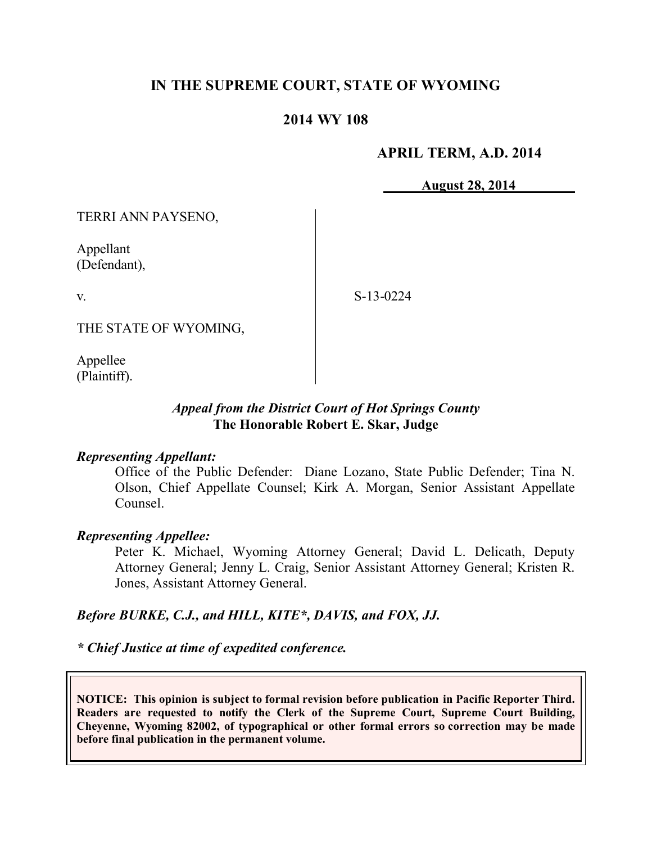# **IN THE SUPREME COURT, STATE OF WYOMING**

### **2014 WY 108**

### **APRIL TERM, A.D. 2014**

**August 28, 2014**

TERRI ANN PAYSENO,

Appellant (Defendant),

v.

S-13-0224

THE STATE OF WYOMING,

Appellee (Plaintiff).

# *Appeal from the District Court of Hot Springs County* **The Honorable Robert E. Skar, Judge**

#### *Representing Appellant:*

Office of the Public Defender: Diane Lozano, State Public Defender; Tina N. Olson, Chief Appellate Counsel; Kirk A. Morgan, Senior Assistant Appellate Counsel.

### *Representing Appellee:*

Peter K. Michael, Wyoming Attorney General; David L. Delicath, Deputy Attorney General; Jenny L. Craig, Senior Assistant Attorney General; Kristen R. Jones, Assistant Attorney General.

### *Before BURKE, C.J., and HILL, KITE\*, DAVIS, and FOX, JJ.*

*\* Chief Justice at time of expedited conference.*

**NOTICE: This opinion is subject to formal revision before publication in Pacific Reporter Third. Readers are requested to notify the Clerk of the Supreme Court, Supreme Court Building, Cheyenne, Wyoming 82002, of typographical or other formal errors so correction may be made before final publication in the permanent volume.**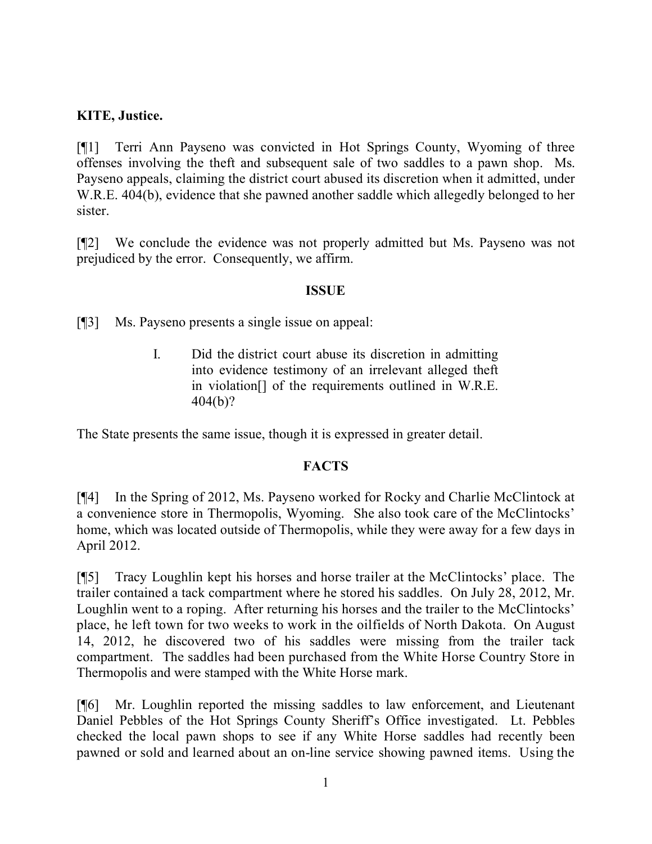# **KITE, Justice.**

[¶1] Terri Ann Payseno was convicted in Hot Springs County, Wyoming of three offenses involving the theft and subsequent sale of two saddles to a pawn shop. Ms. Payseno appeals, claiming the district court abused its discretion when it admitted, under W.R.E. 404(b), evidence that she pawned another saddle which allegedly belonged to her sister.

[¶2] We conclude the evidence was not properly admitted but Ms. Payseno was not prejudiced by the error. Consequently, we affirm.

# **ISSUE**

[¶3] Ms. Payseno presents a single issue on appeal:

I. Did the district court abuse its discretion in admitting into evidence testimony of an irrelevant alleged theft in violation[] of the requirements outlined in W.R.E. 404(b)?

The State presents the same issue, though it is expressed in greater detail.

# **FACTS**

[¶4] In the Spring of 2012, Ms. Payseno worked for Rocky and Charlie McClintock at a convenience store in Thermopolis, Wyoming. She also took care of the McClintocks' home, which was located outside of Thermopolis, while they were away for a few days in April 2012.

[¶5] Tracy Loughlin kept his horses and horse trailer at the McClintocks' place. The trailer contained a tack compartment where he stored his saddles. On July 28, 2012, Mr. Loughlin went to a roping. After returning his horses and the trailer to the McClintocks' place, he left town for two weeks to work in the oilfields of North Dakota. On August 14, 2012, he discovered two of his saddles were missing from the trailer tack compartment. The saddles had been purchased from the White Horse Country Store in Thermopolis and were stamped with the White Horse mark.

[¶6] Mr. Loughlin reported the missing saddles to law enforcement, and Lieutenant Daniel Pebbles of the Hot Springs County Sheriff's Office investigated. Lt. Pebbles checked the local pawn shops to see if any White Horse saddles had recently been pawned or sold and learned about an on-line service showing pawned items. Using the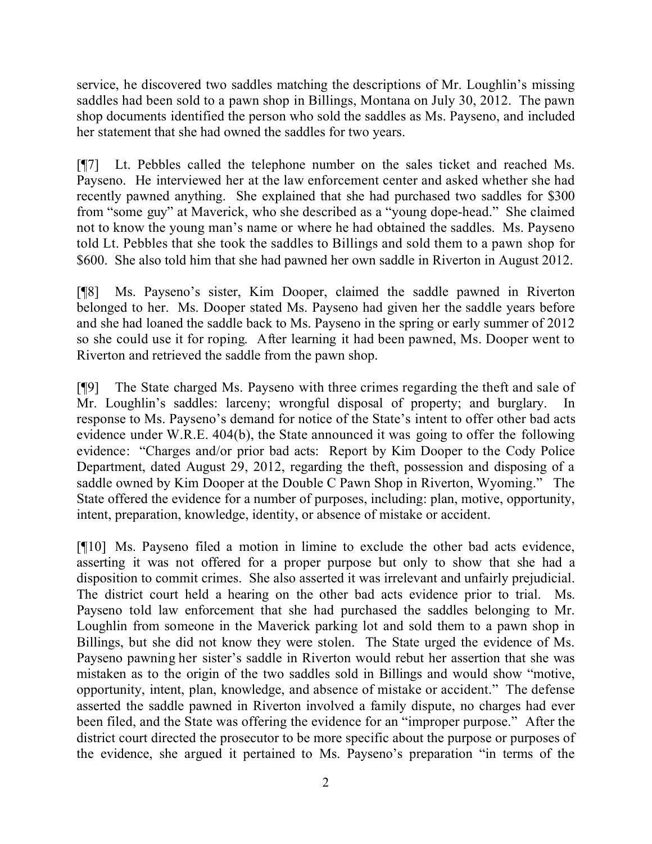service, he discovered two saddles matching the descriptions of Mr. Loughlin's missing saddles had been sold to a pawn shop in Billings, Montana on July 30, 2012. The pawn shop documents identified the person who sold the saddles as Ms. Payseno, and included her statement that she had owned the saddles for two years.

[¶7] Lt. Pebbles called the telephone number on the sales ticket and reached Ms. Payseno. He interviewed her at the law enforcement center and asked whether she had recently pawned anything. She explained that she had purchased two saddles for \$300 from "some guy" at Maverick, who she described as a "young dope-head." She claimed not to know the young man's name or where he had obtained the saddles. Ms. Payseno told Lt. Pebbles that she took the saddles to Billings and sold them to a pawn shop for \$600. She also told him that she had pawned her own saddle in Riverton in August 2012.

[¶8] Ms. Payseno's sister, Kim Dooper, claimed the saddle pawned in Riverton belonged to her. Ms. Dooper stated Ms. Payseno had given her the saddle years before and she had loaned the saddle back to Ms. Payseno in the spring or early summer of 2012 so she could use it for roping. After learning it had been pawned, Ms. Dooper went to Riverton and retrieved the saddle from the pawn shop.

[¶9] The State charged Ms. Payseno with three crimes regarding the theft and sale of Mr. Loughlin's saddles: larceny; wrongful disposal of property; and burglary. In response to Ms. Payseno's demand for notice of the State's intent to offer other bad acts evidence under W.R.E. 404(b), the State announced it was going to offer the following evidence: "Charges and/or prior bad acts: Report by Kim Dooper to the Cody Police Department, dated August 29, 2012, regarding the theft, possession and disposing of a saddle owned by Kim Dooper at the Double C Pawn Shop in Riverton, Wyoming." The State offered the evidence for a number of purposes, including: plan, motive, opportunity, intent, preparation, knowledge, identity, or absence of mistake or accident.

[¶10] Ms. Payseno filed a motion in limine to exclude the other bad acts evidence, asserting it was not offered for a proper purpose but only to show that she had a disposition to commit crimes. She also asserted it was irrelevant and unfairly prejudicial. The district court held a hearing on the other bad acts evidence prior to trial. Ms. Payseno told law enforcement that she had purchased the saddles belonging to Mr. Loughlin from someone in the Maverick parking lot and sold them to a pawn shop in Billings, but she did not know they were stolen. The State urged the evidence of Ms. Payseno pawning her sister's saddle in Riverton would rebut her assertion that she was mistaken as to the origin of the two saddles sold in Billings and would show "motive, opportunity, intent, plan, knowledge, and absence of mistake or accident." The defense asserted the saddle pawned in Riverton involved a family dispute, no charges had ever been filed, and the State was offering the evidence for an "improper purpose." After the district court directed the prosecutor to be more specific about the purpose or purposes of the evidence, she argued it pertained to Ms. Payseno's preparation "in terms of the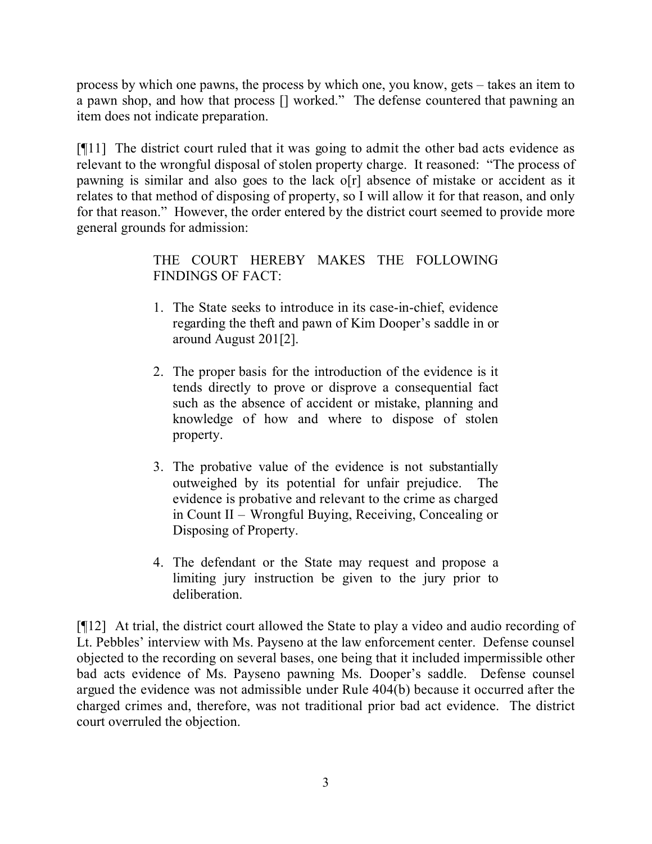process by which one pawns, the process by which one, you know, gets – takes an item to a pawn shop, and how that process [] worked." The defense countered that pawning an item does not indicate preparation.

[¶11] The district court ruled that it was going to admit the other bad acts evidence as relevant to the wrongful disposal of stolen property charge. It reasoned: "The process of pawning is similar and also goes to the lack o[r] absence of mistake or accident as it relates to that method of disposing of property, so I will allow it for that reason, and only for that reason." However, the order entered by the district court seemed to provide more general grounds for admission:

> THE COURT HEREBY MAKES THE FOLLOWING FINDINGS OF FACT:

- 1. The State seeks to introduce in its case-in-chief, evidence regarding the theft and pawn of Kim Dooper's saddle in or around August 201[2].
- 2. The proper basis for the introduction of the evidence is it tends directly to prove or disprove a consequential fact such as the absence of accident or mistake, planning and knowledge of how and where to dispose of stolen property.
- 3. The probative value of the evidence is not substantially outweighed by its potential for unfair prejudice. The evidence is probative and relevant to the crime as charged in Count II – Wrongful Buying, Receiving, Concealing or Disposing of Property.
- 4. The defendant or the State may request and propose a limiting jury instruction be given to the jury prior to deliberation.

[¶12] At trial, the district court allowed the State to play a video and audio recording of Lt. Pebbles' interview with Ms. Payseno at the law enforcement center. Defense counsel objected to the recording on several bases, one being that it included impermissible other bad acts evidence of Ms. Payseno pawning Ms. Dooper's saddle. Defense counsel argued the evidence was not admissible under Rule 404(b) because it occurred after the charged crimes and, therefore, was not traditional prior bad act evidence. The district court overruled the objection.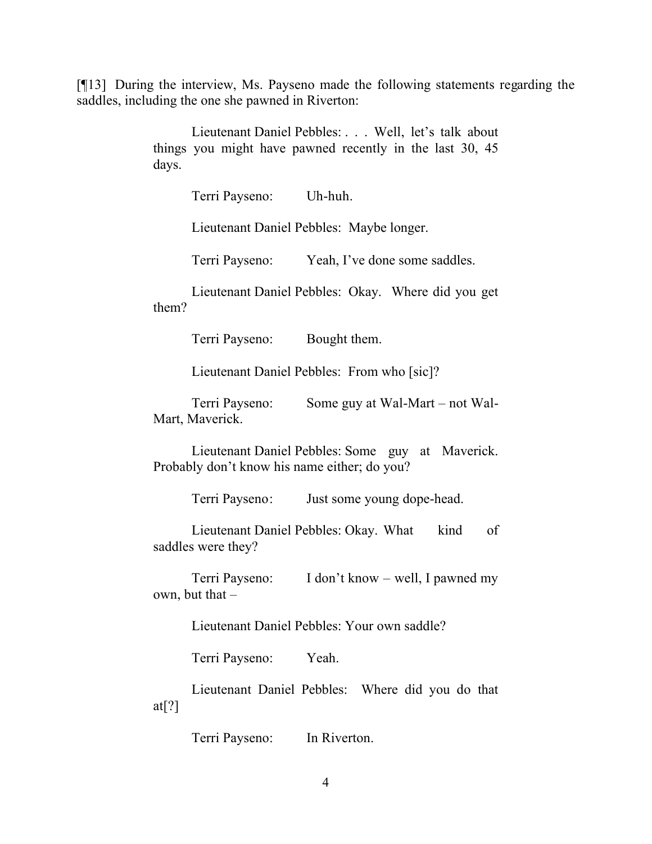[¶13] During the interview, Ms. Payseno made the following statements regarding the saddles, including the one she pawned in Riverton:

> Lieutenant Daniel Pebbles: . . . Well, let's talk about things you might have pawned recently in the last 30, 45 days.

> > Terri Payseno: Uh-huh.

Lieutenant Daniel Pebbles: Maybe longer.

Terri Payseno: Yeah, I've done some saddles.

Lieutenant Daniel Pebbles: Okay. Where did you get them?

Terri Payseno: Bought them.

Lieutenant Daniel Pebbles: From who [sic]?

Terri Payseno: Some guy at Wal-Mart – not Wal-Mart, Maverick.

Lieutenant Daniel Pebbles: Some guy at Maverick. Probably don't know his name either; do you?

Terri Payseno: Just some young dope-head.

Lieutenant Daniel Pebbles: Okay. What kind of saddles were they?

Terri Payseno: I don't know – well, I pawned my own, but that  $-$ 

Lieutenant Daniel Pebbles: Your own saddle?

Terri Payseno: Yeah.

Lieutenant Daniel Pebbles: Where did you do that at $[?]$ 

Terri Payseno: In Riverton.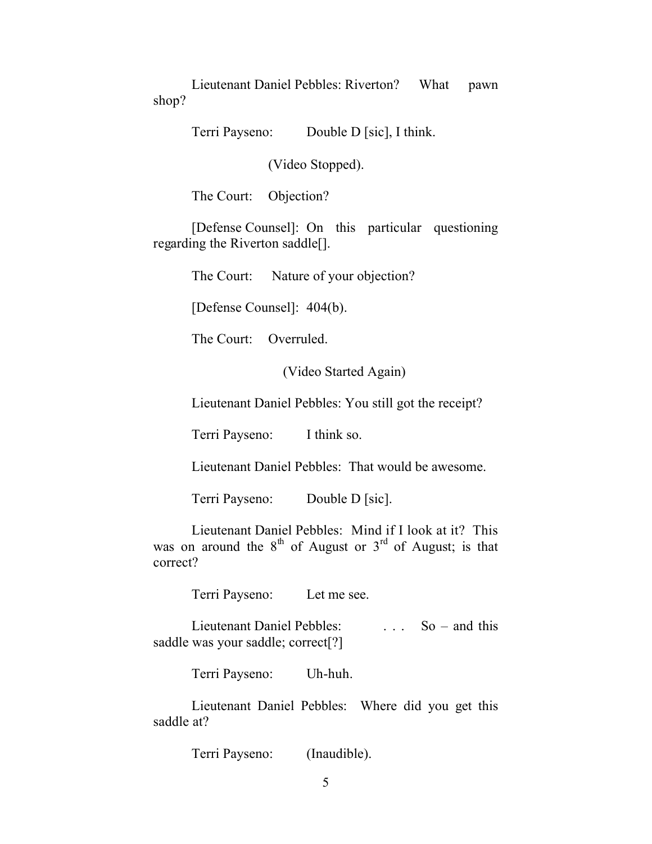Lieutenant Daniel Pebbles: Riverton? What pawn shop?

Terri Payseno: Double D [sic], I think.

(Video Stopped).

The Court: Objection?

[Defense Counsel]: On this particular questioning regarding the Riverton saddle[].

The Court: Nature of your objection?

[Defense Counsel]: 404(b).

The Court: Overruled.

(Video Started Again)

Lieutenant Daniel Pebbles: You still got the receipt?

Terri Payseno: I think so.

Lieutenant Daniel Pebbles: That would be awesome.

Terri Payseno: Double D [sic].

Lieutenant Daniel Pebbles: Mind if I look at it? This was on around the  $8<sup>th</sup>$  of August or  $3<sup>rd</sup>$  of August; is that correct?

Terri Payseno: Let me see.

Lieutenant Daniel Pebbles: So – and this saddle was your saddle; correct[?]

Terri Payseno: Uh-huh.

Lieutenant Daniel Pebbles: Where did you get this saddle at?

Terri Payseno: (Inaudible).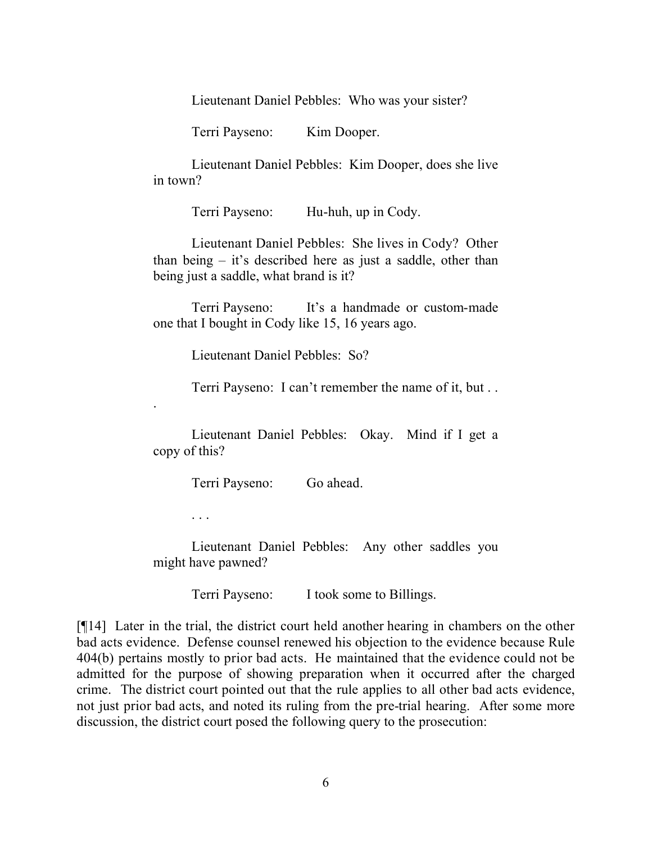Lieutenant Daniel Pebbles: Who was your sister?

Terri Payseno: Kim Dooper.

Lieutenant Daniel Pebbles: Kim Dooper, does she live in town?

Terri Payseno: Hu-huh, up in Cody.

Lieutenant Daniel Pebbles: She lives in Cody? Other than being – it's described here as just a saddle, other than being just a saddle, what brand is it?

Terri Payseno: It's a handmade or custom-made one that I bought in Cody like 15, 16 years ago.

Lieutenant Daniel Pebbles: So?

Terri Payseno: I can't remember the name of it, but . .

Lieutenant Daniel Pebbles: Okay. Mind if I get a copy of this?

Terri Payseno: Go ahead.

. . .

.

Lieutenant Daniel Pebbles: Any other saddles you might have pawned?

Terri Payseno: I took some to Billings.

[¶14] Later in the trial, the district court held another hearing in chambers on the other bad acts evidence. Defense counsel renewed his objection to the evidence because Rule 404(b) pertains mostly to prior bad acts. He maintained that the evidence could not be admitted for the purpose of showing preparation when it occurred after the charged crime. The district court pointed out that the rule applies to all other bad acts evidence, not just prior bad acts, and noted its ruling from the pre-trial hearing. After some more discussion, the district court posed the following query to the prosecution: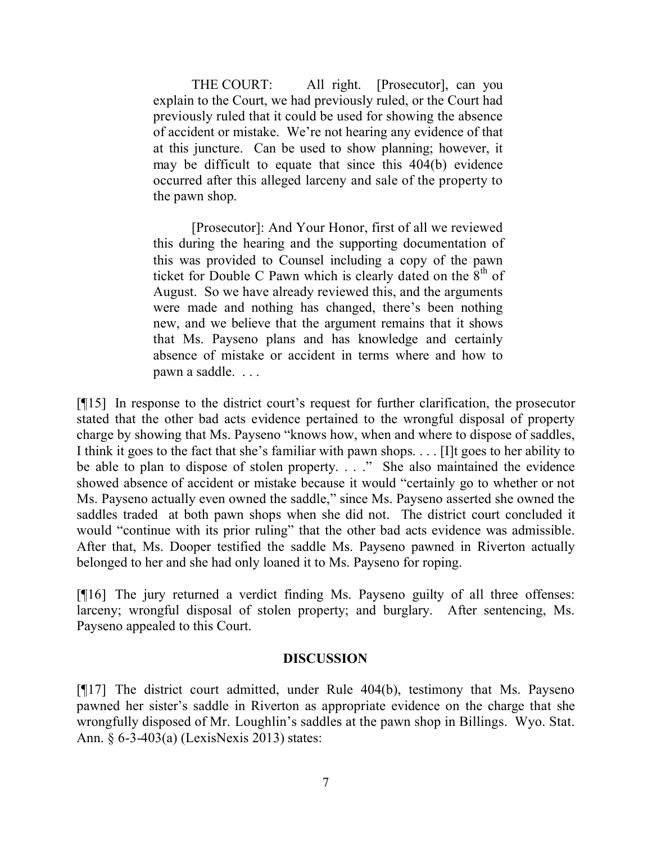THE COURT: All right. [Prosecutor], can you explain to the Court, we had previously ruled, or the Court had previously ruled that it could be used for showing the absence of accident or mistake. We're not hearing any evidence of that at this juncture. Can be used to show planning; however, it may be difficult to equate that since this 404(b) evidence occurred after this alleged larceny and sale of the property to the pawn shop.

[Prosecutor]: And Your Honor, first of all we reviewed this during the hearing and the supporting documentation of this was provided to Counsel including a copy of the pawn ticket for Double C Pawn which is clearly dated on the  $8<sup>th</sup>$  of August. So we have already reviewed this, and the arguments were made and nothing has changed, there's been nothing new, and we believe that the argument remains that it shows that Ms. Payseno plans and has knowledge and certainly absence of mistake or accident in terms where and how to pawn a saddle. . . .

[¶15] In response to the district court's request for further clarification, the prosecutor stated that the other bad acts evidence pertained to the wrongful disposal of property charge by showing that Ms. Payseno "knows how, when and where to dispose of saddles, I think it goes to the fact that she's familiar with pawn shops. . . . [I]t goes to her ability to be able to plan to dispose of stolen property. . . ." She also maintained the evidence showed absence of accident or mistake because it would "certainly go to whether or not Ms. Payseno actually even owned the saddle," since Ms. Payseno asserted she owned the saddles traded at both pawn shops when she did not. The district court concluded it would "continue with its prior ruling" that the other bad acts evidence was admissible. After that, Ms. Dooper testified the saddle Ms. Payseno pawned in Riverton actually belonged to her and she had only loaned it to Ms. Payseno for roping.

[¶16] The jury returned a verdict finding Ms. Payseno guilty of all three offenses: larceny; wrongful disposal of stolen property; and burglary. After sentencing, Ms. Payseno appealed to this Court.

#### **DISCUSSION**

[¶17] The district court admitted, under Rule 404(b), testimony that Ms. Payseno pawned her sister's saddle in Riverton as appropriate evidence on the charge that she wrongfully disposed of Mr. Loughlin's saddles at the pawn shop in Billings. Wyo. Stat. Ann. § 6-3-403(a) (LexisNexis 2013) states: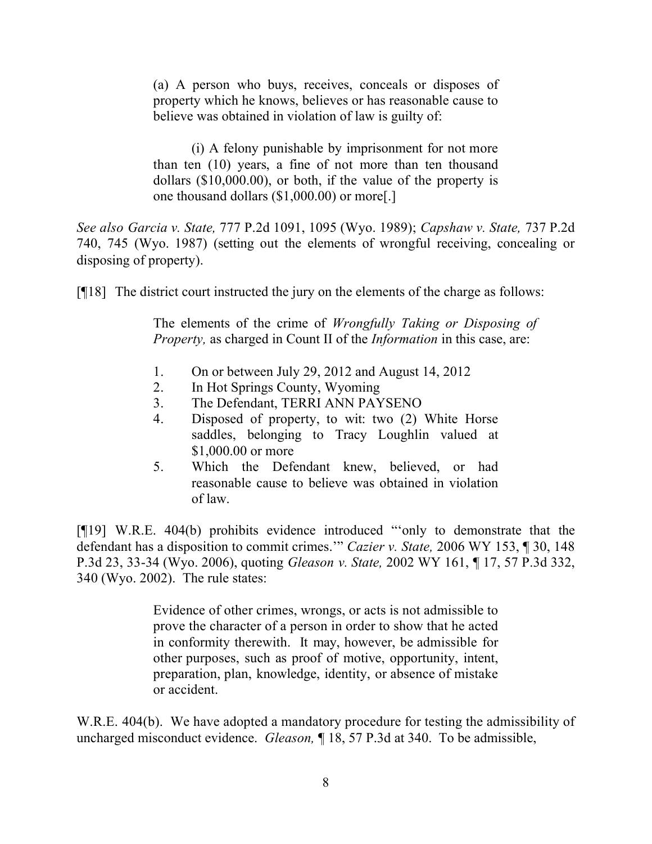(a) A person who buys, receives, conceals or disposes of property which he knows, believes or has reasonable cause to believe was obtained in violation of law is guilty of:

(i) A felony punishable by imprisonment for not more than ten (10) years, a fine of not more than ten thousand dollars (\$10,000.00), or both, if the value of the property is one thousand dollars (\$1,000.00) or more[.]

*See also Garcia v. State,* 777 P.2d 1091, 1095 (Wyo. 1989); *Capshaw v. State,* 737 P.2d 740, 745 (Wyo. 1987) (setting out the elements of wrongful receiving, concealing or disposing of property).

[¶18] The district court instructed the jury on the elements of the charge as follows:

The elements of the crime of *Wrongfully Taking or Disposing of Property,* as charged in Count II of the *Information* in this case, are:

- 1. On or between July 29, 2012 and August 14, 2012
- 2. In Hot Springs County, Wyoming
- 3. The Defendant, TERRI ANN PAYSENO
- 4. Disposed of property, to wit: two (2) White Horse saddles, belonging to Tracy Loughlin valued at \$1,000.00 or more
- 5. Which the Defendant knew, believed, or had reasonable cause to believe was obtained in violation of law.

[¶19] W.R.E. 404(b) prohibits evidence introduced "'only to demonstrate that the defendant has a disposition to commit crimes.'" *Cazier v. State,* 2006 WY 153, ¶ 30, 148 P.3d 23, 33-34 (Wyo. 2006), quoting *Gleason v. State,* 2002 WY 161, ¶ 17, 57 P.3d 332, 340 (Wyo. 2002). The rule states:

> Evidence of other crimes, wrongs, or acts is not admissible to prove the character of a person in order to show that he acted in conformity therewith. It may, however, be admissible for other purposes, such as proof of motive, opportunity, intent, preparation, plan, knowledge, identity, or absence of mistake or accident.

W.R.E. 404(b). We have adopted a mandatory procedure for testing the admissibility of uncharged misconduct evidence. *Gleason,* ¶ 18, 57 P.3d at 340. To be admissible,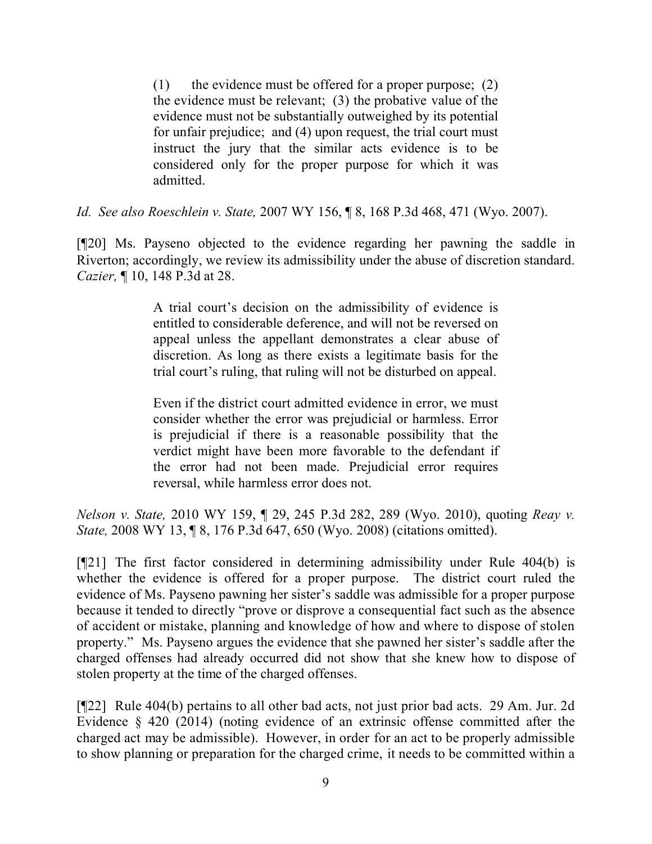(1) the evidence must be offered for a proper purpose;  $(2)$ the evidence must be relevant; (3) the probative value of the evidence must not be substantially outweighed by its potential for unfair prejudice; and (4) upon request, the trial court must instruct the jury that the similar acts evidence is to be considered only for the proper purpose for which it was admitted.

*Id. See also Roeschlein v. State,* 2007 WY 156, ¶ 8, 168 P.3d 468, 471 (Wyo. 2007).

[¶20] Ms. Payseno objected to the evidence regarding her pawning the saddle in Riverton; accordingly, we review its admissibility under the abuse of discretion standard. *Cazier,* ¶ 10, 148 P.3d at 28.

> A trial court's decision on the admissibility of evidence is entitled to considerable deference, and will not be reversed on appeal unless the appellant demonstrates a clear abuse of discretion. As long as there exists a legitimate basis for the trial court's ruling, that ruling will not be disturbed on appeal.

> Even if the district court admitted evidence in error, we must consider whether the error was prejudicial or harmless. Error is prejudicial if there is a reasonable possibility that the verdict might have been more favorable to the defendant if the error had not been made. Prejudicial error requires reversal, while harmless error does not.

*Nelson v. State,* 2010 WY 159, ¶ 29, 245 P.3d 282, 289 (Wyo. 2010), quoting *Reay v. State,* 2008 WY 13, ¶ 8, 176 P.3d 647, 650 (Wyo. 2008) (citations omitted).

[¶21] The first factor considered in determining admissibility under Rule 404(b) is whether the evidence is offered for a proper purpose. The district court ruled the evidence of Ms. Payseno pawning her sister's saddle was admissible for a proper purpose because it tended to directly "prove or disprove a consequential fact such as the absence of accident or mistake, planning and knowledge of how and where to dispose of stolen property." Ms. Payseno argues the evidence that she pawned her sister's saddle after the charged offenses had already occurred did not show that she knew how to dispose of stolen property at the time of the charged offenses.

[¶22] Rule 404(b) pertains to all other bad acts, not just prior bad acts. 29 Am. Jur. 2d Evidence § 420 (2014) (noting evidence of an extrinsic offense committed after the charged act may be admissible). However, in order for an act to be properly admissible to show planning or preparation for the charged crime, it needs to be committed within a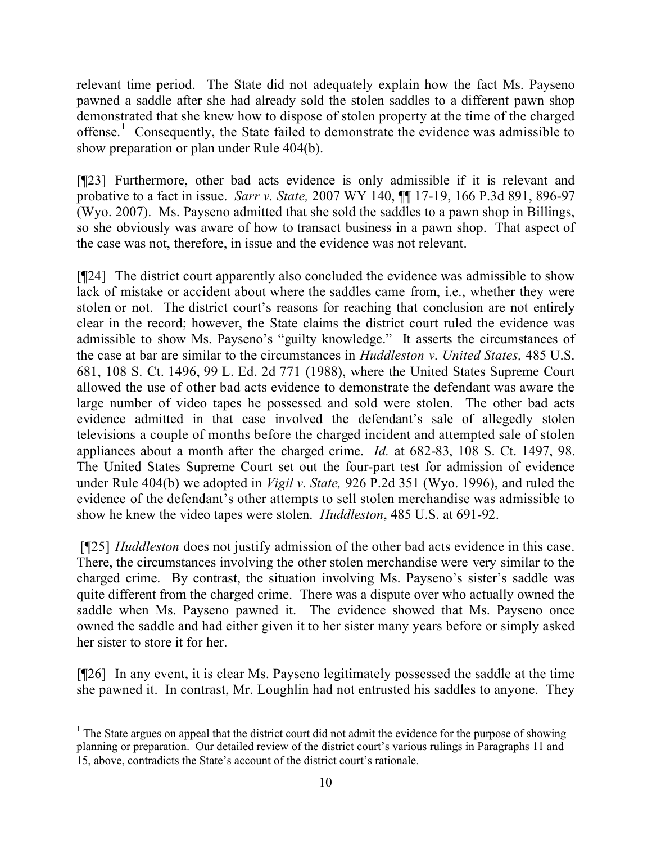relevant time period. The State did not adequately explain how the fact Ms. Payseno pawned a saddle after she had already sold the stolen saddles to a different pawn shop demonstrated that she knew how to dispose of stolen property at the time of the charged offense.<sup>1</sup> Consequently, the State failed to demonstrate the evidence was admissible to show preparation or plan under Rule 404(b).

[¶23] Furthermore, other bad acts evidence is only admissible if it is relevant and probative to a fact in issue. *Sarr v. State,* 2007 WY 140, ¶¶ 17-19, 166 P.3d 891, 896-97 (Wyo. 2007). Ms. Payseno admitted that she sold the saddles to a pawn shop in Billings, so she obviously was aware of how to transact business in a pawn shop. That aspect of the case was not, therefore, in issue and the evidence was not relevant.

[¶24] The district court apparently also concluded the evidence was admissible to show lack of mistake or accident about where the saddles came from, i.e., whether they were stolen or not. The district court's reasons for reaching that conclusion are not entirely clear in the record; however, the State claims the district court ruled the evidence was admissible to show Ms. Payseno's "guilty knowledge." It asserts the circumstances of the case at bar are similar to the circumstances in *Huddleston v. United States,* 485 U.S. 681, 108 S. Ct. 1496, 99 L. Ed. 2d 771 (1988), where the United States Supreme Court allowed the use of other bad acts evidence to demonstrate the defendant was aware the large number of video tapes he possessed and sold were stolen. The other bad acts evidence admitted in that case involved the defendant's sale of allegedly stolen televisions a couple of months before the charged incident and attempted sale of stolen appliances about a month after the charged crime. *Id.* at 682-83, 108 S. Ct. 1497, 98. The United States Supreme Court set out the four-part test for admission of evidence under Rule 404(b) we adopted in *Vigil v. State,* 926 P.2d 351 (Wyo. 1996), and ruled the evidence of the defendant's other attempts to sell stolen merchandise was admissible to show he knew the video tapes were stolen. *Huddleston*, 485 U.S. at 691-92.

[¶25] *Huddleston* does not justify admission of the other bad acts evidence in this case. There, the circumstances involving the other stolen merchandise were very similar to the charged crime. By contrast, the situation involving Ms. Payseno's sister's saddle was quite different from the charged crime. There was a dispute over who actually owned the saddle when Ms. Payseno pawned it. The evidence showed that Ms. Payseno once owned the saddle and had either given it to her sister many years before or simply asked her sister to store it for her.

[¶26] In any event, it is clear Ms. Payseno legitimately possessed the saddle at the time she pawned it. In contrast, Mr. Loughlin had not entrusted his saddles to anyone. They

  $<sup>1</sup>$  The State argues on appeal that the district court did not admit the evidence for the purpose of showing</sup> planning or preparation. Our detailed review of the district court's various rulings in Paragraphs 11 and 15, above, contradicts the State's account of the district court's rationale.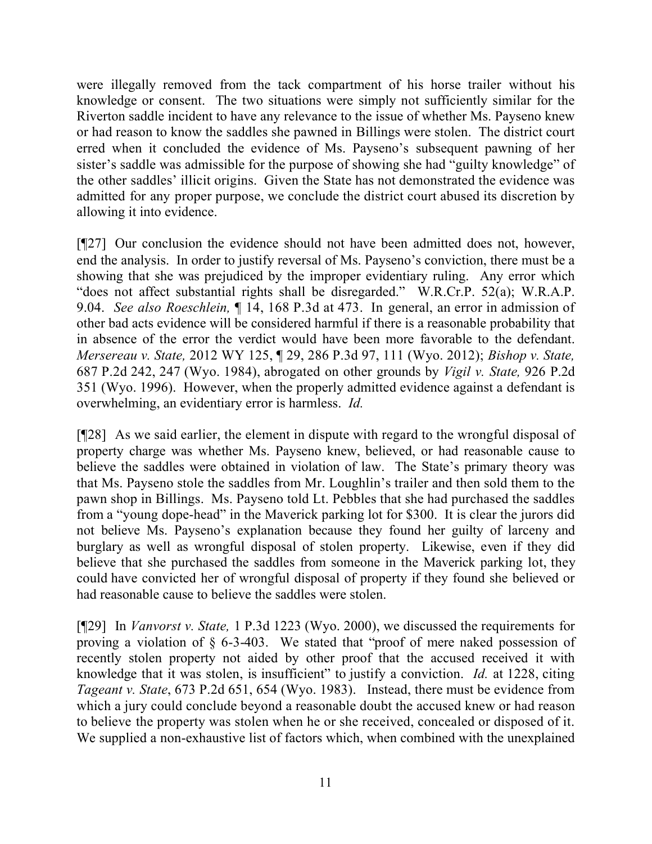were illegally removed from the tack compartment of his horse trailer without his knowledge or consent. The two situations were simply not sufficiently similar for the Riverton saddle incident to have any relevance to the issue of whether Ms. Payseno knew or had reason to know the saddles she pawned in Billings were stolen. The district court erred when it concluded the evidence of Ms. Payseno's subsequent pawning of her sister's saddle was admissible for the purpose of showing she had "guilty knowledge" of the other saddles' illicit origins. Given the State has not demonstrated the evidence was admitted for any proper purpose, we conclude the district court abused its discretion by allowing it into evidence.

[¶27] Our conclusion the evidence should not have been admitted does not, however, end the analysis. In order to justify reversal of Ms. Payseno's conviction, there must be a showing that she was prejudiced by the improper evidentiary ruling. Any error which "does not affect substantial rights shall be disregarded." W.R.Cr.P. 52(a); W.R.A.P. 9.04. *See also Roeschlein,* ¶ 14, 168 P.3d at 473. In general, an error in admission of other bad acts evidence will be considered harmful if there is a reasonable probability that in absence of the error the verdict would have been more favorable to the defendant. *Mersereau v. State,* 2012 WY 125, ¶ 29, 286 P.3d 97, 111 (Wyo. 2012); *Bishop v. State,*  687 P.2d 242, 247 (Wyo. 1984), abrogated on other grounds by *Vigil v. State,* 926 P.2d 351 (Wyo. 1996). However, when the properly admitted evidence against a defendant is overwhelming, an evidentiary error is harmless. *Id.* 

[¶28] As we said earlier, the element in dispute with regard to the wrongful disposal of property charge was whether Ms. Payseno knew, believed, or had reasonable cause to believe the saddles were obtained in violation of law. The State's primary theory was that Ms. Payseno stole the saddles from Mr. Loughlin's trailer and then sold them to the pawn shop in Billings. Ms. Payseno told Lt. Pebbles that she had purchased the saddles from a "young dope-head" in the Maverick parking lot for \$300. It is clear the jurors did not believe Ms. Payseno's explanation because they found her guilty of larceny and burglary as well as wrongful disposal of stolen property. Likewise, even if they did believe that she purchased the saddles from someone in the Maverick parking lot, they could have convicted her of wrongful disposal of property if they found she believed or had reasonable cause to believe the saddles were stolen.

[¶29] In *Vanvorst v. State,* 1 P.3d 1223 (Wyo. 2000), we discussed the requirements for proving a violation of § 6-3-403. We stated that "proof of mere naked possession of recently stolen property not aided by other proof that the accused received it with knowledge that it was stolen, is insufficient" to justify a conviction. *Id.* at 1228, citing *Tageant v. State*, 673 P.2d 651, 654 (Wyo. 1983). Instead, there must be evidence from which a jury could conclude beyond a reasonable doubt the accused knew or had reason to believe the property was stolen when he or she received, concealed or disposed of it. We supplied a non-exhaustive list of factors which, when combined with the unexplained